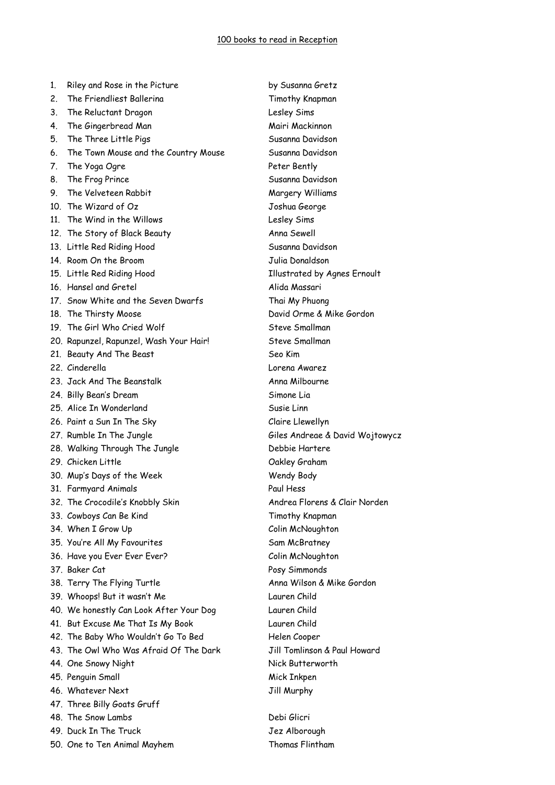| 1.      | Riley and Rose in the Picture           | by Susanna Gretz                    |
|---------|-----------------------------------------|-------------------------------------|
| $2_{-}$ | The Friendliest Ballerina               | Timothy Knapman                     |
| 3.      | The Reluctant Dragon                    | Lesley Sims                         |
| 4.      | The Gingerbread Man                     | Mairi Mackinnon                     |
| 5.      | The Three Little Pigs                   | Susanna Davidson                    |
| 6.      | The Town Mouse and the Country Mouse    | Susanna Davidson                    |
| 7.      | The Yoga Ogre                           | Peter Bently                        |
| 8.      | The Frog Prince                         | Susanna Davidson                    |
| 9.      | The Velveteen Rabbit                    | Margery Williams                    |
|         | 10. The Wizard of Oz                    | Joshua George                       |
|         | 11. The Wind in the Willows             | Lesley Sims                         |
|         | 12. The Story of Black Beauty           | Anna Sewell                         |
|         | 13. Little Red Riding Hood              | Susanna Davidson                    |
|         | 14. Room On the Broom                   | Julia Donaldson                     |
|         | 15. Little Red Riding Hood              | <b>Illustrated by Agnes Ernoult</b> |
|         | 16. Hansel and Gretel                   | Alida Massari                       |
|         | 17. Snow White and the Seven Dwarfs     | Thai My Phuong                      |
|         | 18. The Thirsty Moose                   | David Orme & Mike Gordon            |
|         | 19. The Girl Who Cried Wolf             | Steve Smallman                      |
|         | 20. Rapunzel, Rapunzel, Wash Your Hair! | Steve Smallman                      |
|         | 21. Beauty And The Beast                | Seo Kim                             |
|         | 22. Cinderella                          | Lorena Awarez                       |
|         | 23. Jack And The Beanstalk              | Anna Milbourne                      |
|         | 24. Billy Bean's Dream                  | Simone Lia                          |
|         | 25. Alice In Wonderland                 | Susie Linn                          |
|         | 26. Paint a Sun In The Sky              | Claire Llewellyn                    |
|         | 27. Rumble In The Jungle                | Giles Andreae & David Wojtowycz     |
|         | 28. Walking Through The Jungle          | Debbie Hartere                      |
|         | 29. Chicken Little                      | Oakley Graham                       |
|         | 30. Mup's Days of the Week              | Wendy Body                          |
|         | 31. Farmyard Animals                    | Paul Hess                           |
|         | 32. The Crocodile's Knobbly Skin        | Andrea Florens & Clair Norden       |
|         | 33. Cowboys Can Be Kind                 | Timothy Knapman                     |
|         | 34. When I Grow Up                      | Colin McNoughton                    |
|         | 35. You're All My Favourites            | Sam McBratney                       |
|         | 36. Have you Ever Ever Ever?            | Colin McNoughton                    |
|         | 37. Baker Cat                           | Posy Simmonds                       |
|         | 38. Terry The Flying Turtle             | Anna Wilson & Mike Gordon           |
|         | 39. Whoops! But it wasn't Me            | Lauren Child                        |
|         | 40. We honestly Can Look After Your Dog | Lauren Child                        |
|         | 41. But Excuse Me That Is My Book       | Lauren Child                        |
|         | 42. The Baby Who Wouldn't Go To Bed     | Helen Cooper                        |
|         | 43. The Owl Who Was Afraid Of The Dark  | Jill Tomlinson & Paul Howard        |
|         | 44. One Snowy Night                     | Nick Butterworth                    |
|         | 45. Penguin Small                       |                                     |
|         | 46. Whatever Next                       | Mick Inkpen                         |
|         |                                         | Jill Murphy                         |
|         | 47. Three Billy Goats Gruff             |                                     |
|         | 48. The Snow Lambs                      | Debi Glicri                         |
|         | 49. Duck In The Truck                   | Jez Alborough                       |
|         | 50. One to Ten Animal Mayhem            | Thomas Flintham                     |